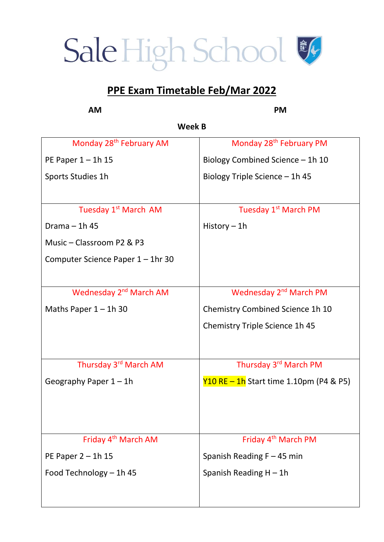## Sale High School &

#### **PPE Exam Timetable Feb/Mar 2022**

**AM PM** 

**Week B** 

| Monday 28 <sup>th</sup> February AM | Monday 28 <sup>th</sup> February PM     |
|-------------------------------------|-----------------------------------------|
| PE Paper $1 - 1h$ 15                | Biology Combined Science - 1h 10        |
| Sports Studies 1h                   | Biology Triple Science - 1h 45          |
|                                     |                                         |
| Tuesday 1 <sup>st</sup> March AM    | Tuesday 1 <sup>st</sup> March PM        |
| Drama $-$ 1h 45                     | History $-1h$                           |
| Music - Classroom P2 & P3           |                                         |
| Computer Science Paper 1 - 1hr 30   |                                         |
|                                     |                                         |
| Wednesday 2 <sup>nd</sup> March AM  | Wednesday 2 <sup>nd</sup> March PM      |
| Maths Paper $1 - 1h$ 30             | Chemistry Combined Science 1h 10        |
|                                     | Chemistry Triple Science 1h 45          |
|                                     |                                         |
| Thursday 3rd March AM               | Thursday 3rd March PM                   |
| Geography Paper $1 - 1$ h           | Y10 RE - 1h Start time 1.10pm (P4 & P5) |
|                                     |                                         |
|                                     |                                         |
|                                     |                                         |
| Friday 4 <sup>th</sup> March AM     | Friday 4 <sup>th</sup> March PM         |
| PE Paper $2 - 1h$ 15                | Spanish Reading $F - 45$ min            |
| Food Technology - 1h 45             | Spanish Reading $H - 1h$                |
|                                     |                                         |
|                                     |                                         |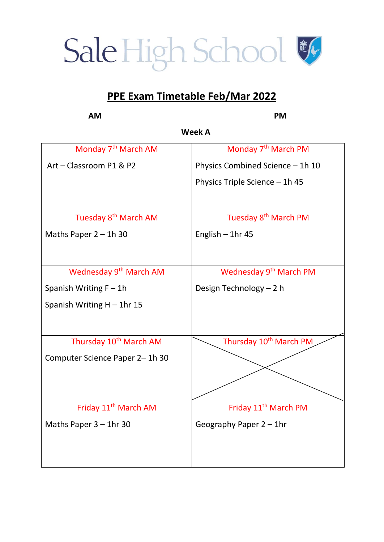### Sale High School &

#### **PPE Exam Timetable Feb/Mar 2022**

**Week A**  Monday 7<sup>th</sup> March AM Art – Classroom P1 & P2 Monday 7<sup>th</sup> March PM Physics Combined Science – 1h 10 Physics Triple Science – 1h 45 Tuesday 8th March AM Maths Paper 2 – 1h 30 Tuesday 8<sup>th</sup> March PM English – 1hr 45 Wednesday 9<sup>th</sup> March AM Spanish Writing  $F - 1h$ Spanish Writing  $H - 1$ hr 15 Wednesday 9<sup>th</sup> March PM Design Technology – 2 h Thursday 10<sup>th</sup> March AM Computer Science Paper 2– 1h 30 Thursday 10<sup>th</sup> March PM Friday 11<sup>th</sup> March AM Maths Paper 3 – 1hr 30 Friday 11<sup>th</sup> March PM Geography Paper 2 – 1hr

**AM PM**